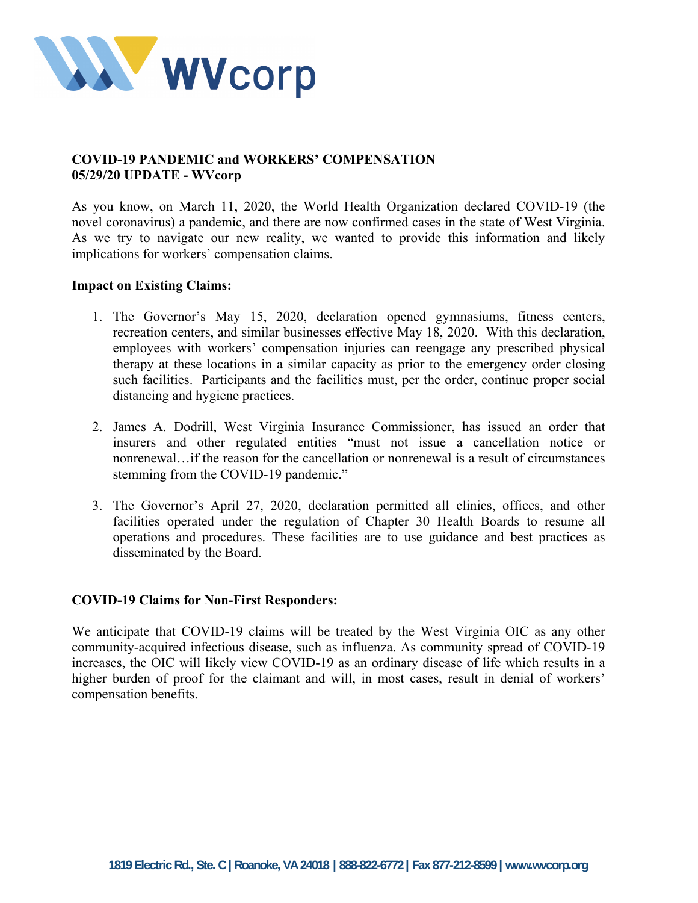

# **COVID-19 PANDEMIC and WORKERS' COMPENSATION 05/29/20 UPDATE - WVcorp**

As you know, on March 11, 2020, the World Health Organization declared COVID-19 (the novel coronavirus) a pandemic, and there are now confirmed cases in the state of West Virginia. As we try to navigate our new reality, we wanted to provide this information and likely implications for workers' compensation claims.

## **Impact on Existing Claims:**

- 1. The Governor's May 15, 2020, declaration opened gymnasiums, fitness centers, recreation centers, and similar businesses effective May 18, 2020. With this declaration, employees with workers' compensation injuries can reengage any prescribed physical therapy at these locations in a similar capacity as prior to the emergency order closing such facilities. Participants and the facilities must, per the order, continue proper social distancing and hygiene practices.
- 2. James A. Dodrill, West Virginia Insurance Commissioner, has issued an order that insurers and other regulated entities "must not issue a cancellation notice or nonrenewal…if the reason for the cancellation or nonrenewal is a result of circumstances stemming from the COVID-19 pandemic."
- 3. The Governor's April 27, 2020, declaration permitted all clinics, offices, and other facilities operated under the regulation of Chapter 30 Health Boards to resume all operations and procedures. These facilities are to use guidance and best practices as disseminated by the Board.

## **COVID-19 Claims for Non-First Responders:**

We anticipate that COVID-19 claims will be treated by the West Virginia OIC as any other community-acquired infectious disease, such as influenza. As community spread of COVID-19 increases, the OIC will likely view COVID-19 as an ordinary disease of life which results in a higher burden of proof for the claimant and will, in most cases, result in denial of workers' compensation benefits.